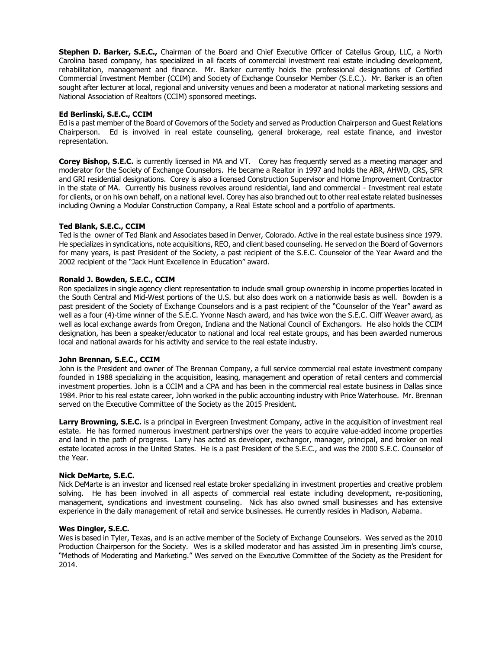**Stephen D. Barker, S.E.C.,** Chairman of the Board and Chief Executive Officer of Catellus Group, LLC, a North Carolina based company, has specialized in all facets of commercial investment real estate including development, rehabilitation, management and finance. Mr. Barker currently holds the professional designations of Certified Commercial Investment Member (CCIM) and Society of Exchange Counselor Member (S.E.C.). Mr. Barker is an often sought after lecturer at local, regional and university venues and been a moderator at national marketing sessions and National Association of Realtors (CCIM) sponsored meetings.

### **Ed Berlinski, S.E.C., CCIM**

Ed is a past member of the Board of Governors of the Society and served as Production Chairperson and Guest Relations Chairperson. Ed is involved in real estate counseling, general brokerage, real estate finance, and investor representation.

**Corey Bishop, S.E.C.** is currently licensed in MA and VT. Corey has frequently served as a meeting manager and moderator for the Society of Exchange Counselors. He became a Realtor in 1997 and holds the ABR, AHWD, CRS, SFR and GRI residential designations. Corey is also a licensed Construction Supervisor and Home Improvement Contractor in the state of MA. Currently his business revolves around residential, land and commercial - Investment real estate for clients, or on his own behalf, on a national level. Corey has also branched out to other real estate related businesses including Owning a Modular Construction Company, a Real Estate school and a portfolio of apartments.

## **Ted Blank, S.E.C., CCIM**

Ted is the owner of Ted Blank and Associates based in Denver, Colorado. Active in the real estate business since 1979. He specializes in syndications, note acquisitions, REO, and client based counseling. He served on the Board of Governors for many years, is past President of the Society, a past recipient of the S.E.C. Counselor of the Year Award and the 2002 recipient of the "Jack Hunt Excellence in Education" award.

## **Ronald J. Bowden, S.E.C., CCIM**

Ron specializes in single agency client representation to include small group ownership in income properties located in the South Central and Mid-West portions of the U.S. but also does work on a nationwide basis as well. Bowden is a past president of the Society of Exchange Counselors and is a past recipient of the "Counselor of the Year" award as well as a four (4)-time winner of the S.E.C. Yvonne Nasch award, and has twice won the S.E.C. Cliff Weaver award, as well as local exchange awards from Oregon, Indiana and the National Council of Exchangors. He also holds the CCIM designation, has been a speaker/educator to national and local real estate groups, and has been awarded numerous local and national awards for his activity and service to the real estate industry.

#### **John Brennan, S.E.C., CCIM**

John is the President and owner of The Brennan Company, a full service commercial real estate investment company founded in 1988 specializing in the acquisition, leasing, management and operation of retail centers and commercial investment properties. John is a CCIM and a CPA and has been in the commercial real estate business in Dallas since 1984. Prior to his real estate career, John worked in the public accounting industry with Price Waterhouse. Mr. Brennan served on the Executive Committee of the Society as the 2015 President.

**Larry Browning, S.E.C.** is a principal in Evergreen Investment Company, active in the acquisition of investment real estate. He has formed numerous investment partnerships over the years to acquire value-added income properties and land in the path of progress. Larry has acted as developer, exchangor, manager, principal, and broker on real estate located across in the United States. He is a past President of the S.E.C., and was the 2000 S.E.C. Counselor of the Year.

#### **Nick DeMarte, S.E.C.**

Nick DeMarte is an investor and licensed real estate broker specializing in investment properties and creative problem solving. He has been involved in all aspects of commercial real estate including development, re-positioning, management, syndications and investment counseling. Nick has also owned small businesses and has extensive experience in the daily management of retail and service businesses. He currently resides in Madison, Alabama.

#### **Wes Dingler, S.E.C.**

Wes is based in Tyler, Texas, and is an active member of the Society of Exchange Counselors. Wes served as the 2010 Production Chairperson for the Society. Wes is a skilled moderator and has assisted Jim in presenting Jim's course, "Methods of Moderating and Marketing." Wes served on the Executive Committee of the Society as the President for 2014.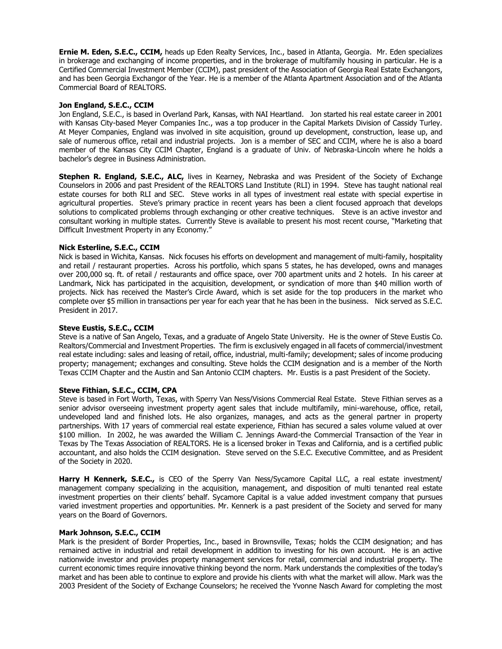**Ernie M. Eden, S.E.C., CCIM,** heads up Eden Realty Services, Inc., based in Atlanta, Georgia. Mr. Eden specializes in brokerage and exchanging of income properties, and in the brokerage of multifamily housing in particular. He is a Certified Commercial Investment Member (CCIM), past president of the Association of Georgia Real Estate Exchangors, and has been Georgia Exchangor of the Year. He is a member of the Atlanta Apartment Association and of the Atlanta Commercial Board of REALTORS.

# **Jon England, S.E.C., CCIM**

Jon England, S.E.C., is based in Overland Park, Kansas, with NAI Heartland. Jon started his real estate career in 2001 with Kansas City-based Meyer Companies Inc., was a top producer in the Capital Markets Division of Cassidy Turley. At Meyer Companies, England was involved in site acquisition, ground up development, construction, lease up, and sale of numerous office, retail and industrial projects. Jon is a member of SEC and CCIM, where he is also a board member of the Kansas City CCIM Chapter, England is a graduate of Univ. of Nebraska-Lincoln where he holds a bachelor's degree in Business Administration.

**Stephen R. England, S.E.C., ALC,** lives in Kearney, Nebraska and was President of the Society of Exchange Counselors in 2006 and past President of the REALTORS Land Institute (RLI) in 1994. Steve has taught national real estate courses for both RLI and SEC. Steve works in all types of investment real estate with special expertise in agricultural properties. Steve's primary practice in recent years has been a client focused approach that develops solutions to complicated problems through exchanging or other creative techniques. Steve is an active investor and consultant working in multiple states. Currently Steve is available to present his most recent course, "Marketing that Difficult Investment Property in any Economy."

## **Nick Esterline, S.E.C., CCIM**

Nick is based in Wichita, Kansas. Nick focuses his efforts on development and management of multi-family, hospitality and retail / restaurant properties. Across his portfolio, which spans 5 states, he has developed, owns and manages over 200,000 sq. ft. of retail / restaurants and office space, over 700 apartment units and 2 hotels. In his career at Landmark, Nick has participated in the acquisition, development, or syndication of more than \$40 million worth of projects. Nick has received the Master's Circle Award, which is set aside for the top producers in the market who complete over \$5 million in transactions per year for each year that he has been in the business. Nick served as S.E.C. President in 2017.

#### **Steve Eustis, S.E.C., CCIM**

Steve is a native of San Angelo, Texas, and a graduate of Angelo State University. He is the owner of Steve Eustis Co. Realtors/Commercial and Investment Properties. The firm is exclusively engaged in all facets of commercial/investment real estate including: sales and leasing of retail, office, industrial, multi-family; development; sales of income producing property; management; exchanges and consulting. Steve holds the CCIM designation and is a member of the North Texas CCIM Chapter and the Austin and San Antonio CCIM chapters. Mr. Eustis is a past President of the Society.

#### **Steve Fithian, S.E.C., CCIM, CPA**

Steve is based in Fort Worth, Texas, with Sperry Van Ness/Visions Commercial Real Estate. Steve Fithian serves as a senior advisor overseeing investment property agent sales that include multifamily, mini-warehouse, office, retail, undeveloped land and finished lots. He also organizes, manages, and acts as the general partner in property partnerships. With 17 years of commercial real estate experience, Fithian has secured a sales volume valued at over \$100 million. In 2002, he was awarded the William C. Jennings Award-the Commercial Transaction of the Year in Texas by The Texas Association of REALTORS. He is a licensed broker in Texas and California, and is a certified public accountant, and also holds the CCIM designation. Steve served on the S.E.C. Executive Committee, and as President of the Society in 2020.

Harry H Kennerk, S.E.C., is CEO of the Sperry Van Ness/Sycamore Capital LLC, a real estate investment/ management company specializing in the acquisition, management, and disposition of multi tenanted real estate investment properties on their clients' behalf. Sycamore Capital is a value added investment company that pursues varied investment properties and opportunities. Mr. Kennerk is a past president of the Society and served for many years on the Board of Governors.

#### **Mark Johnson, S.E.C., CCIM**

Mark is the president of Border Properties, Inc., based in Brownsville, Texas; holds the CCIM designation; and has remained active in industrial and retail development in addition to investing for his own account. He is an active nationwide investor and provides property management services for retail, commercial and industrial property. The current economic times require innovative thinking beyond the norm. Mark understands the complexities of the today's market and has been able to continue to explore and provide his clients with what the market will allow. Mark was the 2003 President of the Society of Exchange Counselors; he received the Yvonne Nasch Award for completing the most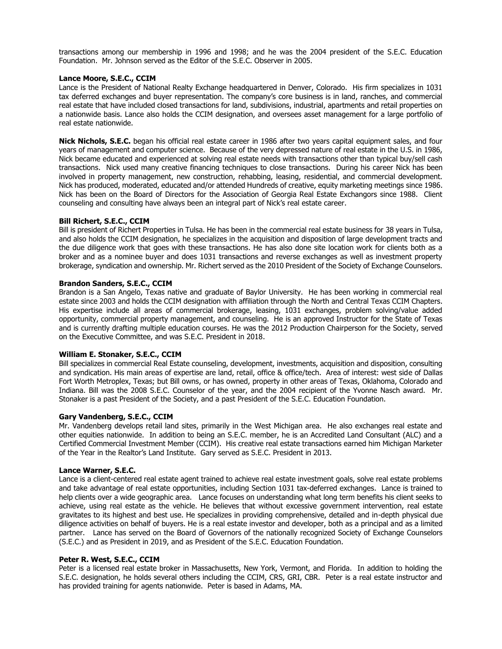transactions among our membership in 1996 and 1998; and he was the 2004 president of the S.E.C. Education Foundation. Mr. Johnson served as the Editor of the S.E.C. Observer in 2005.

#### **Lance Moore, S.E.C., CCIM**

Lance is the President of National Realty Exchange headquartered in Denver, Colorado. His firm specializes in 1031 tax deferred exchanges and buyer representation. The company's core business is in land, ranches, and commercial real estate that have included closed transactions for land, subdivisions, industrial, apartments and retail properties on a nationwide basis. Lance also holds the CCIM designation, and oversees asset management for a large portfolio of real estate nationwide.

**Nick Nichols, S.E.C.** began his official real estate career in 1986 after two years capital equipment sales, and four years of management and computer science. Because of the very depressed nature of real estate in the U.S. in 1986, Nick became educated and experienced at solving real estate needs with transactions other than typical buy/sell cash transactions. Nick used many creative financing techniques to close transactions. During his career Nick has been involved in property management, new construction, rehabbing, leasing, residential, and commercial development. Nick has produced, moderated, educated and/or attended Hundreds of creative, equity marketing meetings since 1986. Nick has been on the Board of Directors for the Association of Georgia Real Estate Exchangors since 1988. Client counseling and consulting have always been an integral part of Nick's real estate career.

## **Bill Richert, S.E.C., CCIM**

Bill is president of Richert Properties in Tulsa. He has been in the commercial real estate business for 38 years in Tulsa, and also holds the CCIM designation, he specializes in the acquisition and disposition of large development tracts and the due diligence work that goes with these transactions. He has also done site location work for clients both as a broker and as a nominee buyer and does 1031 transactions and reverse exchanges as well as investment property brokerage, syndication and ownership. Mr. Richert served as the 2010 President of the Society of Exchange Counselors.

#### **Brandon Sanders, S.E.C., CCIM**

Brandon is a San Angelo, Texas native and graduate of Baylor University. He has been working in commercial real estate since 2003 and holds the CCIM designation with affiliation through the North and Central Texas CCIM Chapters. His expertise include all areas of commercial brokerage, leasing, 1031 exchanges, problem solving/value added opportunity, commercial property management, and counseling. He is an approved Instructor for the State of Texas and is currently drafting multiple education courses. He was the 2012 Production Chairperson for the Society, served on the Executive Committee, and was S.E.C. President in 2018.

#### **William E. Stonaker, S.E.C., CCIM**

Bill specializes in commercial Real Estate counseling, development, investments, acquisition and disposition, consulting and syndication. His main areas of expertise are land, retail, office & office/tech. Area of interest: west side of Dallas Fort Worth Metroplex, Texas; but Bill owns, or has owned, property in other areas of Texas, Oklahoma, Colorado and Indiana. Bill was the 2008 S.E.C. Counselor of the year, and the 2004 recipient of the Yvonne Nasch award. Mr. Stonaker is a past President of the Society, and a past President of the S.E.C. Education Foundation.

#### **Gary Vandenberg, S.E.C., CCIM**

Mr. Vandenberg develops retail land sites, primarily in the West Michigan area. He also exchanges real estate and other equities nationwide. In addition to being an S.E.C. member, he is an Accredited Land Consultant (ALC) and a Certified Commercial Investment Member (CCIM). His creative real estate transactions earned him Michigan Marketer of the Year in the Realtor's Land Institute. Gary served as S.E.C. President in 2013.

#### **Lance Warner, S.E.C.**

Lance is a client-centered real estate agent trained to achieve real estate investment goals, solve real estate problems and take advantage of real estate opportunities, including Section 1031 tax-deferred exchanges. Lance is trained to help clients over a wide geographic area. Lance focuses on understanding what long term benefits his client seeks to achieve, using real estate as the vehicle. He believes that without excessive government intervention, real estate gravitates to its highest and best use. He specializes in providing comprehensive, detailed and in-depth physical due diligence activities on behalf of buyers. He is a real estate investor and developer, both as a principal and as a limited partner. Lance has served on the Board of Governors of the nationally recognized Society of Exchange Counselors (S.E.C.) and as President in 2019, and as President of the S.E.C. Education Foundation.

#### **Peter R. West, S.E.C., CCIM**

Peter is a licensed real estate broker in Massachusetts, New York, Vermont, and Florida. In addition to holding the S.E.C. designation, he holds several others including the CCIM, CRS, GRI, CBR. Peter is a real estate instructor and has provided training for agents nationwide. Peter is based in Adams, MA.